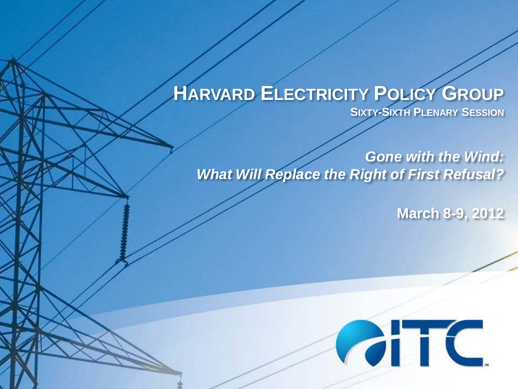### **HARVARD ELECTRICITY POLICY GROUP SIXTY-SIXTH PLENARY SESSION**

*Gone with the Wind: What Will Replace the Right of First Refusal?*

**March 8-9, 2012**

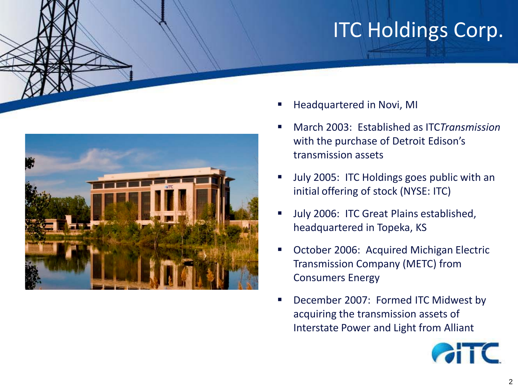# ITC Holdings Corp.



- Headquartered in Novi, MI
- March 2003: Established as ITC*Transmission* with the purchase of Detroit Edison's transmission assets
- July 2005: ITC Holdings goes public with an initial offering of stock (NYSE: ITC)
- Ully 2006: ITC Great Plains established, headquartered in Topeka, KS
- October 2006: Acquired Michigan Electric Transmission Company (METC) from Consumers Energy
- December 2007: Formed ITC Midwest by acquiring the transmission assets of Interstate Power and Light from Alliant

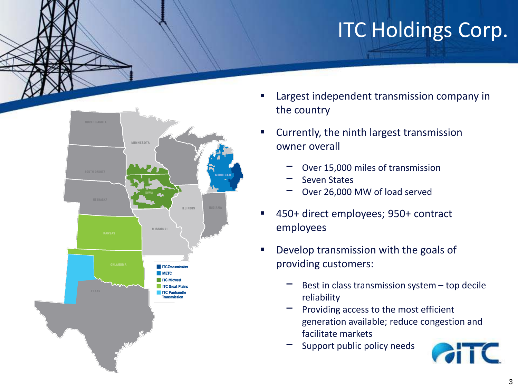# ITC Holdings Corp.



- Largest independent transmission company in the country
- Currently, the ninth largest transmission owner overall
	- Over 15,000 miles of transmission
	- − Seven States
	- Over 26,000 MW of load served
- 450+ direct employees; 950+ contract employees
- Develop transmission with the goals of providing customers:
	- Best in class transmission system top decile reliability
	- Providing access to the most efficient generation available; reduce congestion and facilitate markets
	- Support public policy needs

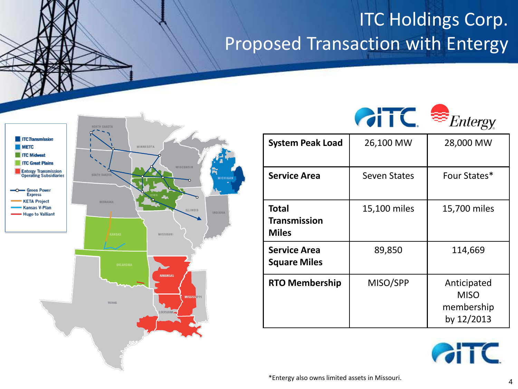### ITC Holdings Corp. Proposed Transaction with Entergy







| <b>System Peak Load</b>                             | 26,100 MW           | 28,000 MW                                              |
|-----------------------------------------------------|---------------------|--------------------------------------------------------|
| <b>Service Area</b>                                 | <b>Seven States</b> | Four States*                                           |
| <b>Total</b><br><b>Transmission</b><br><b>Miles</b> | 15,100 miles        | 15,700 miles                                           |
| <b>Service Area</b><br><b>Square Miles</b>          | 89,850              | 114,669                                                |
| <b>RTO Membership</b>                               | MISO/SPP            | Anticipated<br><b>MISO</b><br>membership<br>by 12/2013 |



\*Entergy also owns limited assets in Missouri. <sup>4</sup>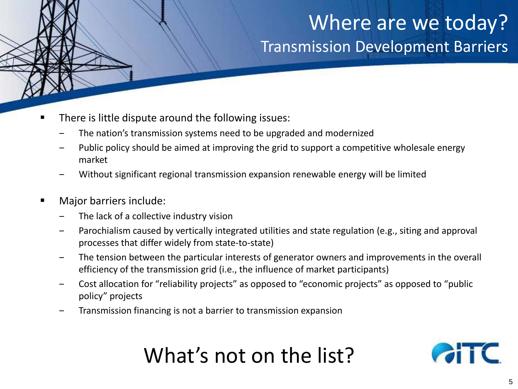### Where are we today? Transmission Development Barriers

- There is little dispute around the following issues:
	- ‒ The nation's transmission systems need to be upgraded and modernized
	- ‒ Public policy should be aimed at improving the grid to support a competitive wholesale energy market
	- Without significant regional transmission expansion renewable energy will be limited
- **Major barriers include:** 
	- The lack of a collective industry vision
	- ‒ Parochialism caused by vertically integrated utilities and state regulation (e.g., siting and approval processes that differ widely from state-to-state)
	- The tension between the particular interests of generator owners and improvements in the overall efficiency of the transmission grid (i.e., the influence of market participants)
	- ‒ Cost allocation for "reliability projects" as opposed to "economic projects" as opposed to "public policy" projects
	- ‒ Transmission financing is not a barrier to transmission expansion

# What's not on the list?

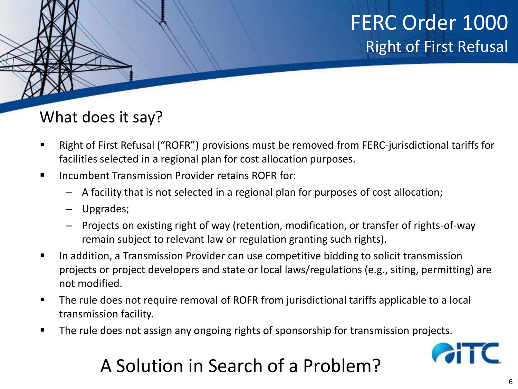### What does it say?

- Right of First Refusal ("ROFR") provisions must be removed from FERC-jurisdictional tariffs for facilities selected in a regional plan for cost allocation purposes.
- **Incumbent Transmission Provider retains ROFR for:** 
	- A facility that is not selected in a regional plan for purposes of cost allocation;
	- Upgrades;
	- Projects on existing right of way (retention, modification, or transfer of rights-of-way remain subject to relevant law or regulation granting such rights).
- **IFT In addition, a Transmission Provider can use competitive bidding to solicit transmission** projects or project developers and state or local laws/regulations (e.g., siting, permitting) are not modified.
- The rule does not require removal of ROFR from jurisdictional tariffs applicable to a local transmission facility.
- The rule does not assign any ongoing rights of sponsorship for transmission projects.



### A Solution in Search of a Problem?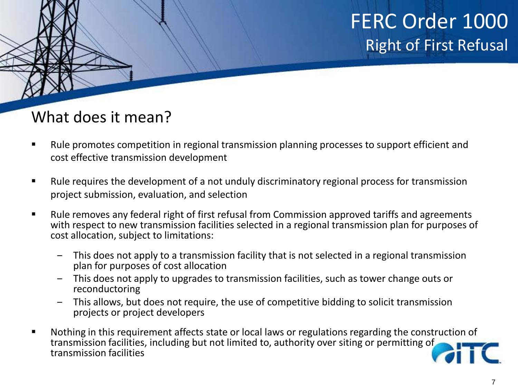#### What does it mean?

- Rule promotes competition in regional transmission planning processes to support efficient and cost effective transmission development
- Rule requires the development of a not unduly discriminatory regional process for transmission project submission, evaluation, and selection
- Rule removes any federal right of first refusal from Commission approved tariffs and agreements with respect to new transmission facilities selected in a regional transmission plan for purposes of cost allocation, subject to limitations:
	- ‒ This does not apply to a transmission facility that is not selected in a regional transmission plan for purposes of cost allocation
	- ‒ This does not apply to upgrades to transmission facilities, such as tower change outs or reconductoring
	- ‒ This allows, but does not require, the use of competitive bidding to solicit transmission projects or project developers
- Nothing in this requirement affects state or local laws or regulations regarding the construction of transmission facilities, including but not limited to, authority over siting or permitting of transmission facilities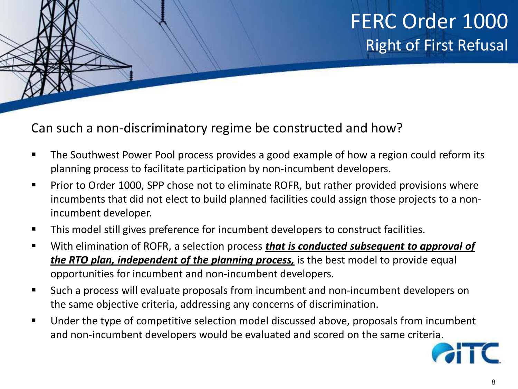#### Can such a non-discriminatory regime be constructed and how?

- **The Southwest Power Pool process provides a good example of how a region could reform its** planning process to facilitate participation by non-incumbent developers.
- Prior to Order 1000, SPP chose not to eliminate ROFR, but rather provided provisions where incumbents that did not elect to build planned facilities could assign those projects to a nonincumbent developer.
- This model still gives preference for incumbent developers to construct facilities.
- With elimination of ROFR, a selection process *that is conducted subsequent to approval of the RTO plan, independent of the planning process,* is the best model to provide equal opportunities for incumbent and non-incumbent developers.
- Such a process will evaluate proposals from incumbent and non-incumbent developers on the same objective criteria, addressing any concerns of discrimination.
- Under the type of competitive selection model discussed above, proposals from incumbent and non-incumbent developers would be evaluated and scored on the same criteria.

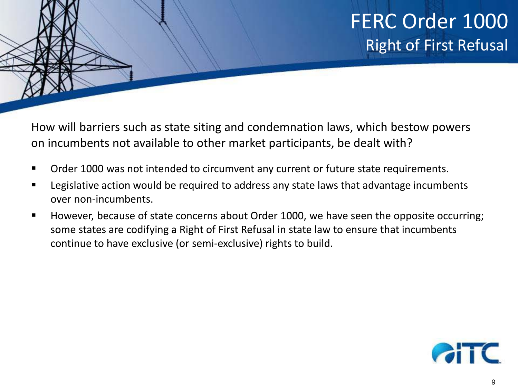How will barriers such as state siting and condemnation laws, which bestow powers on incumbents not available to other market participants, be dealt with?

- Order 1000 was not intended to circumvent any current or future state requirements.
- **EXT** Legislative action would be required to address any state laws that advantage incumbents over non-incumbents.
- **However, because of state concerns about Order 1000, we have seen the opposite occurring;** some states are codifying a Right of First Refusal in state law to ensure that incumbents continue to have exclusive (or semi-exclusive) rights to build.

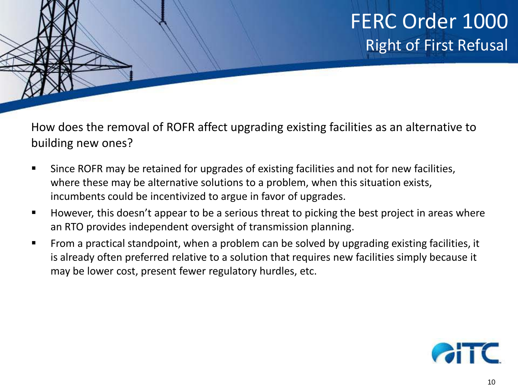How does the removal of ROFR affect upgrading existing facilities as an alternative to building new ones?

- Since ROFR may be retained for upgrades of existing facilities and not for new facilities, where these may be alternative solutions to a problem, when this situation exists, incumbents could be incentivized to argue in favor of upgrades.
- **However, this doesn't appear to be a serious threat to picking the best project in areas where** an RTO provides independent oversight of transmission planning.
- **From a practical standpoint, when a problem can be solved by upgrading existing facilities, it** is already often preferred relative to a solution that requires new facilities simply because it may be lower cost, present fewer regulatory hurdles, etc.

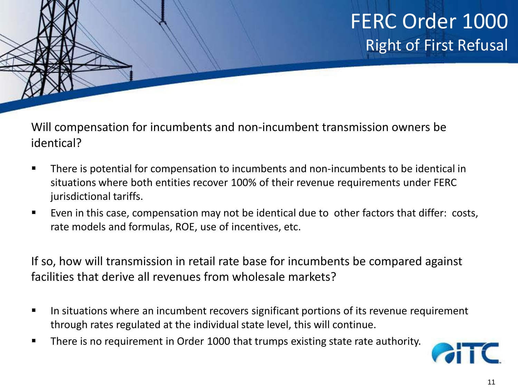Will compensation for incumbents and non-incumbent transmission owners be identical?

- **There is potential for compensation to incumbents and non-incumbents to be identical in** situations where both entities recover 100% of their revenue requirements under FERC jurisdictional tariffs.
- Even in this case, compensation may not be identical due to other factors that differ: costs, rate models and formulas, ROE, use of incentives, etc.

If so, how will transmission in retail rate base for incumbents be compared against facilities that derive all revenues from wholesale markets?

- In situations where an incumbent recovers significant portions of its revenue requirement through rates regulated at the individual state level, this will continue.
- **There is no requirement in Order 1000 that trumps existing state rate authority.**

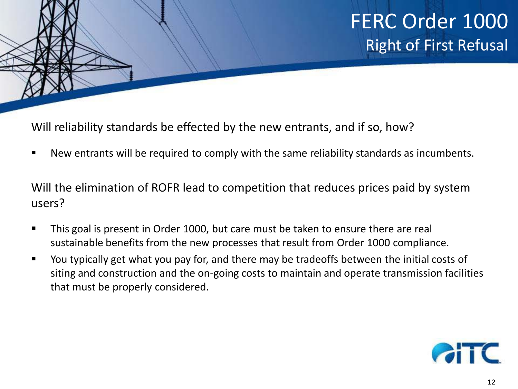Will reliability standards be effected by the new entrants, and if so, how?

New entrants will be required to comply with the same reliability standards as incumbents.

Will the elimination of ROFR lead to competition that reduces prices paid by system users?

- This goal is present in Order 1000, but care must be taken to ensure there are real sustainable benefits from the new processes that result from Order 1000 compliance.
- You typically get what you pay for, and there may be tradeoffs between the initial costs of siting and construction and the on-going costs to maintain and operate transmission facilities that must be properly considered.

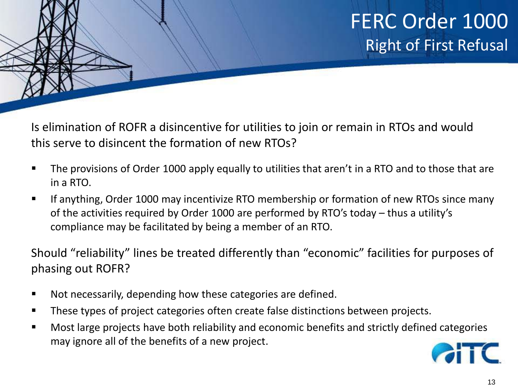Is elimination of ROFR a disincentive for utilities to join or remain in RTOs and would this serve to disincent the formation of new RTOs?

- The provisions of Order 1000 apply equally to utilities that aren't in a RTO and to those that are in a RTO.
- If anything, Order 1000 may incentivize RTO membership or formation of new RTOs since many of the activities required by Order 1000 are performed by RTO's today – thus a utility's compliance may be facilitated by being a member of an RTO.

Should "reliability" lines be treated differently than "economic" facilities for purposes of phasing out ROFR?

- Not necessarily, depending how these categories are defined.
- These types of project categories often create false distinctions between projects.
- Most large projects have both reliability and economic benefits and strictly defined categories may ignore all of the benefits of a new project.

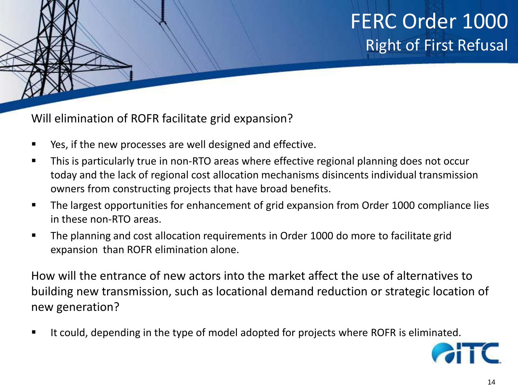Will elimination of ROFR facilitate grid expansion?

- Yes, if the new processes are well designed and effective.
- **This is particularly true in non-RTO areas where effective regional planning does not occur** today and the lack of regional cost allocation mechanisms disincents individual transmission owners from constructing projects that have broad benefits.
- **The largest opportunities for enhancement of grid expansion from Order 1000 compliance lies** in these non-RTO areas.
- The planning and cost allocation requirements in Order 1000 do more to facilitate grid expansion than ROFR elimination alone.

How will the entrance of new actors into the market affect the use of alternatives to building new transmission, such as locational demand reduction or strategic location of new generation?

It could, depending in the type of model adopted for projects where ROFR is eliminated.

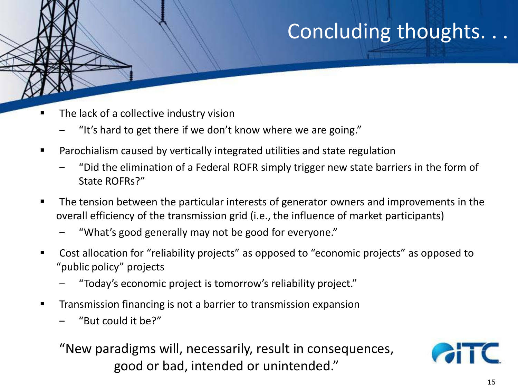## Concluding thoughts. . .

- The lack of a collective industry vision
	- ‒ "It's hard to get there if we don't know where we are going."
- Parochialism caused by vertically integrated utilities and state regulation
	- ‒ "Did the elimination of a Federal ROFR simply trigger new state barriers in the form of State ROFRs?"
- The tension between the particular interests of generator owners and improvements in the overall efficiency of the transmission grid (i.e., the influence of market participants)
	- ‒ "What's good generally may not be good for everyone."
- Cost allocation for "reliability projects" as opposed to "economic projects" as opposed to "public policy" projects
	- ‒ "Today's economic project is tomorrow's reliability project."
- **Transmission financing is not a barrier to transmission expansion** 
	- ‒ "But could it be?"

"New paradigms will, necessarily, result in consequences, good or bad, intended or unintended."